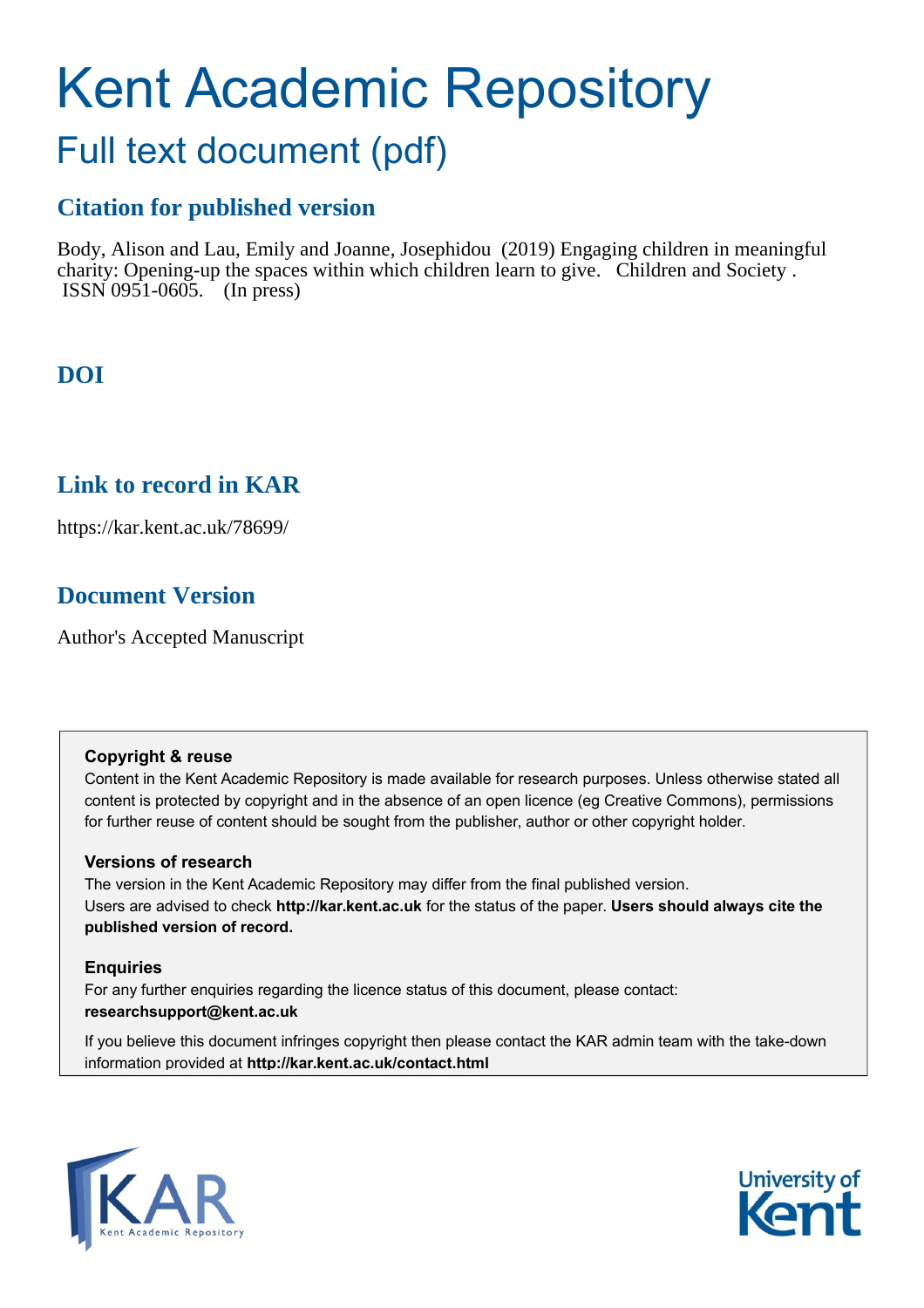# Kent Academic Repository

## Full text document (pdf)

## **Citation for published version**

Body, Alison and Lau, Emily and Joanne, Josephidou (2019) Engaging children in meaningful charity: Opening-up the spaces within which children learn to give. Children and Society . ISSN 0951-0605. (In press)

## **DOI**

### **Link to record in KAR**

https://kar.kent.ac.uk/78699/

## **Document Version**

Author's Accepted Manuscript

#### **Copyright & reuse**

Content in the Kent Academic Repository is made available for research purposes. Unless otherwise stated all content is protected by copyright and in the absence of an open licence (eg Creative Commons), permissions for further reuse of content should be sought from the publisher, author or other copyright holder.

#### **Versions of research**

The version in the Kent Academic Repository may differ from the final published version. Users are advised to check **http://kar.kent.ac.uk** for the status of the paper. **Users should always cite the published version of record.**

#### **Enquiries**

For any further enquiries regarding the licence status of this document, please contact: **researchsupport@kent.ac.uk**

If you believe this document infringes copyright then please contact the KAR admin team with the take-down information provided at **http://kar.kent.ac.uk/contact.html**



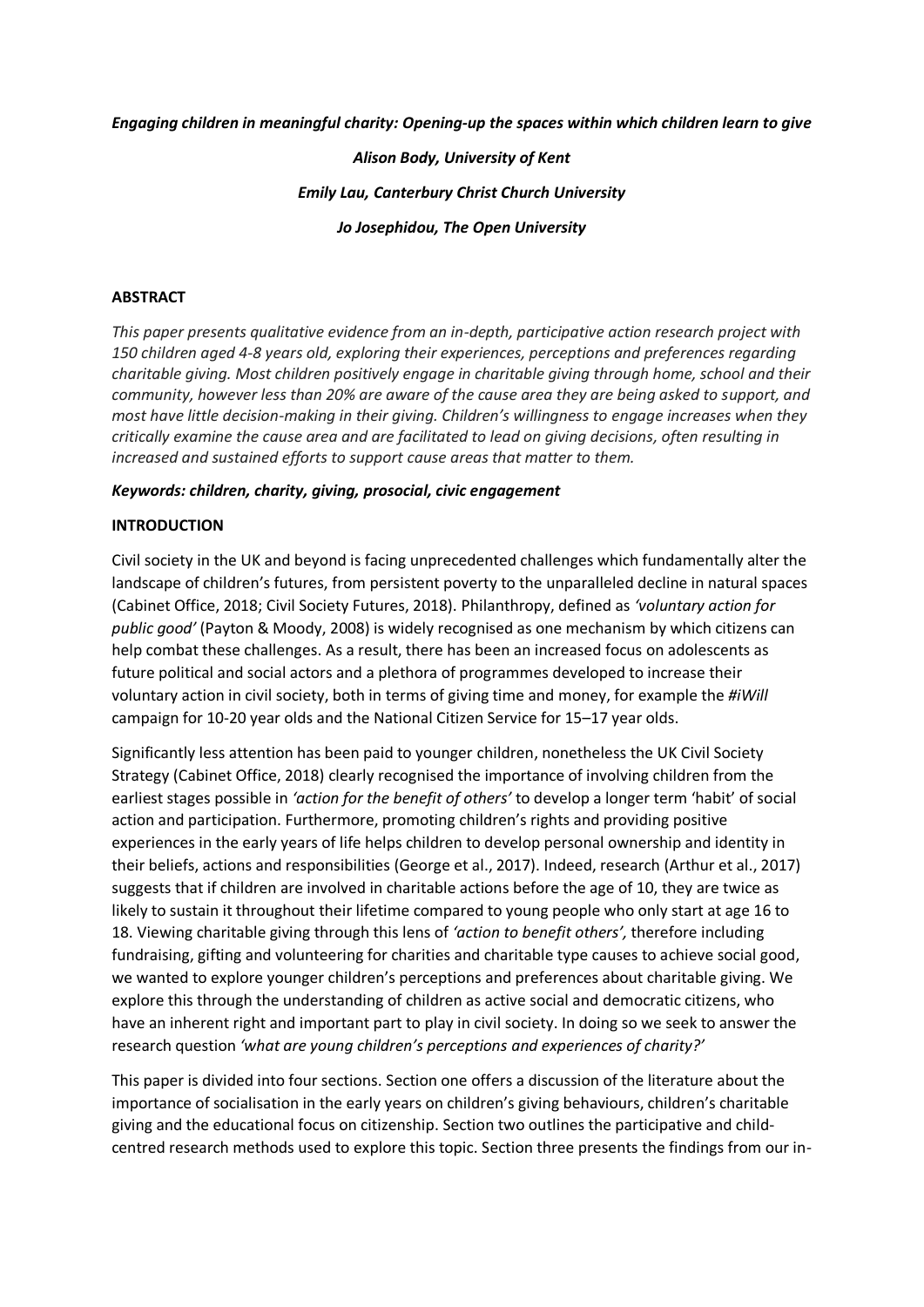#### *Engaging children in meaningful charity: Opening-up the spaces within which children learn to give*

## *Alison Body, University of Kent Emily Lau, Canterbury Christ Church University Jo Josephidou, The Open University*

#### **ABSTRACT**

*This paper presents qualitative evidence from an in-depth, participative action research project with 150 children aged 4-8 years old, exploring their experiences, perceptions and preferences regarding charitable giving. Most children positively engage in charitable giving through home, school and their community, however less than 20% are aware of the cause area they are being asked to support, and most have little decision-making in their giving. Children's willingness to engage increases when they critically examine the cause area and are facilitated to lead on giving decisions, often resulting in increased and sustained efforts to support cause areas that matter to them.* 

#### *Keywords: children, charity, giving, prosocial, civic engagement*

#### **INTRODUCTION**

Civil society in the UK and beyond is facing unprecedented challenges which fundamentally alter the landscape of children's futures, from persistent poverty to the unparalleled decline in natural spaces (Cabinet Office, 2018; Civil Society Futures, 2018). Philanthropy, defined as *'voluntary action for public good'* (Payton & Moody, 2008) is widely recognised as one mechanism by which citizens can help combat these challenges. As a result, there has been an increased focus on adolescents as future political and social actors and a plethora of programmes developed to increase their voluntary action in civil society, both in terms of giving time and money, for example the *#iWill* campaign for 10-20 year olds and the National Citizen Service for 15–17 year olds.

Significantly less attention has been paid to younger children, nonetheless the UK Civil Society Strategy (Cabinet Office, 2018) clearly recognised the importance of involving children from the earliest stages possible in *'action for the benefit of others'* to develop a longer term 'habit' of social action and participation. Furthermore, promoting children's rights and providing positive experiences in the early years of life helps children to develop personal ownership and identity in their beliefs, actions and responsibilities (George et al., 2017). Indeed, research (Arthur et al., 2017) suggests that if children are involved in charitable actions before the age of 10, they are twice as likely to sustain it throughout their lifetime compared to young people who only start at age 16 to 18. Viewing charitable giving through this lens of *'action to benefit others',* therefore including fundraising, gifting and volunteering for charities and charitable type causes to achieve social good, we wanted to explore younger children's perceptions and preferences about charitable giving. We explore this through the understanding of children as active social and democratic citizens, who have an inherent right and important part to play in civil society. In doing so we seek to answer the research question *'what are young children's perceptions and experiences of charity?'*

This paper is divided into four sections. Section one offers a discussion of the literature about the importance of socialisation in the early years on children's giving behaviours, children's charitable giving and the educational focus on citizenship. Section two outlines the participative and childcentred research methods used to explore this topic. Section three presents the findings from our in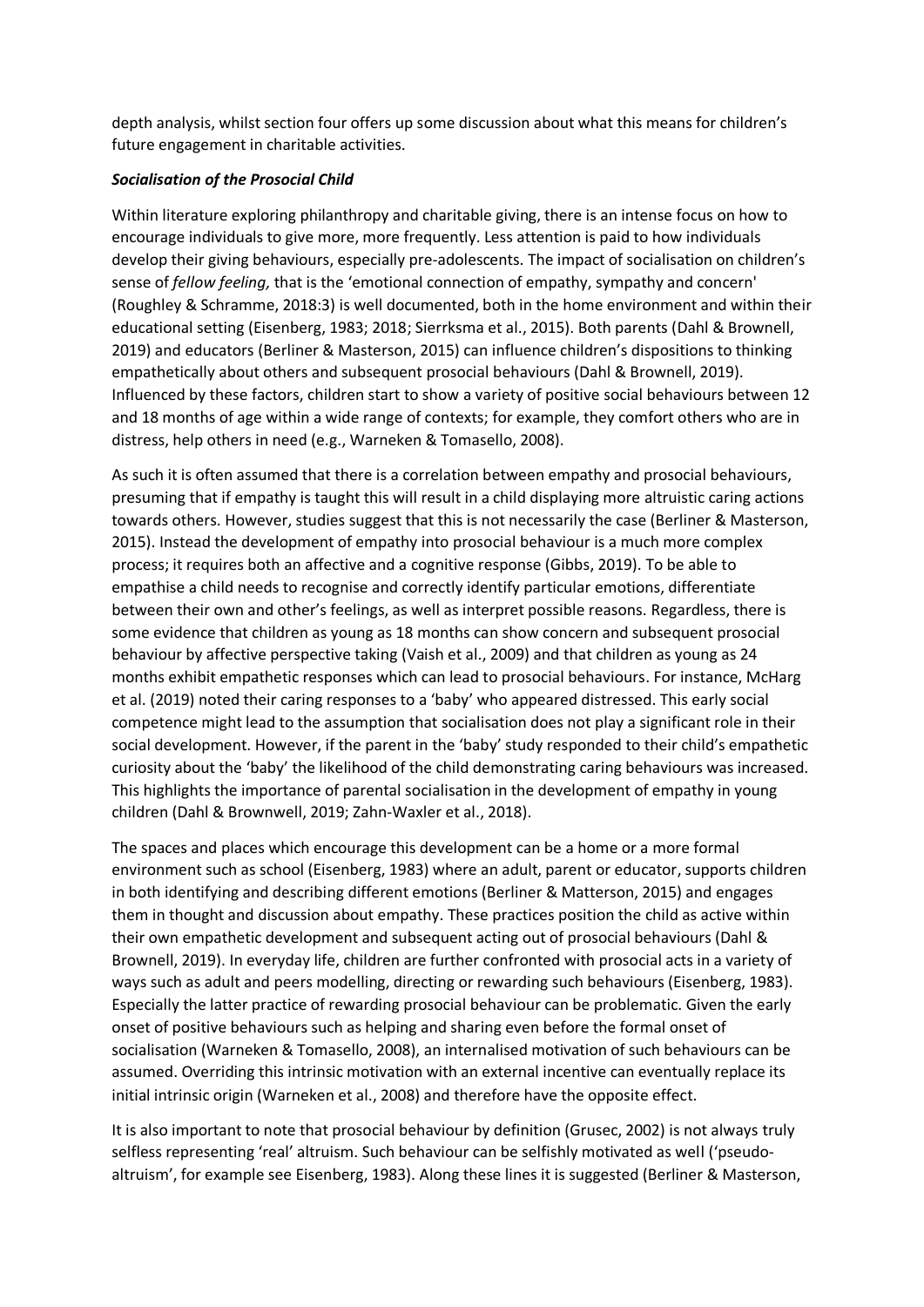depth analysis, whilst section four offers up some discussion about what this means for children's future engagement in charitable activities.

#### *Socialisation of the Prosocial Child*

Within literature exploring philanthropy and charitable giving, there is an intense focus on how to encourage individuals to give more, more frequently. Less attention is paid to how individuals develop their giving behaviours, especially pre-adolescents. The impact of socialisation on children's sense of *fellow feeling,* that is the 'emotional connection of empathy, sympathy and concern' (Roughley & Schramme, 2018:3) is well documented, both in the home environment and within their educational setting (Eisenberg, 1983; 2018; Sierrksma et al., 2015). Both parents (Dahl & Brownell, 2019) and educators (Berliner & Masterson, 2015) can influence children's dispositions to thinking empathetically about others and subsequent prosocial behaviours (Dahl & Brownell, 2019). Influenced by these factors, children start to show a variety of positive social behaviours between 12 and 18 months of age within a wide range of contexts; for example, they comfort others who are in distress, help others in need (e.g., Warneken & Tomasello, 2008).

As such it is often assumed that there is a correlation between empathy and prosocial behaviours, presuming that if empathy is taught this will result in a child displaying more altruistic caring actions towards others. However, studies suggest that this is not necessarily the case (Berliner & Masterson, 2015). Instead the development of empathy into prosocial behaviour is a much more complex process; it requires both an affective and a cognitive response (Gibbs, 2019). To be able to empathise a child needs to recognise and correctly identify particular emotions, differentiate between their own and other's feelings, as well as interpret possible reasons. Regardless, there is some evidence that children as young as 18 months can show concern and subsequent prosocial behaviour by affective perspective taking (Vaish et al., 2009) and that children as young as 24 months exhibit empathetic responses which can lead to prosocial behaviours. For instance, McHarg et al. (2019) noted their caring responses to a 'baby' who appeared distressed. This early social competence might lead to the assumption that socialisation does not play a significant role in their social development. However, if the parent in the 'baby' study responded to their child's empathetic curiosity about the 'baby' the likelihood of the child demonstrating caring behaviours was increased. This highlights the importance of parental socialisation in the development of empathy in young children (Dahl & Brownwell, 2019; Zahn-Waxler et al., 2018).

The spaces and places which encourage this development can be a home or a more formal environment such as school (Eisenberg, 1983) where an adult, parent or educator, supports children in both identifying and describing different emotions (Berliner & Matterson, 2015) and engages them in thought and discussion about empathy. These practices position the child as active within their own empathetic development and subsequent acting out of prosocial behaviours (Dahl & Brownell, 2019). In everyday life, children are further confronted with prosocial acts in a variety of ways such as adult and peers modelling, directing or rewarding such behaviours (Eisenberg, 1983). Especially the latter practice of rewarding prosocial behaviour can be problematic. Given the early onset of positive behaviours such as helping and sharing even before the formal onset of socialisation (Warneken & Tomasello, 2008), an internalised motivation of such behaviours can be assumed. Overriding this intrinsic motivation with an external incentive can eventually replace its initial intrinsic origin (Warneken et al., 2008) and therefore have the opposite effect.

It is also important to note that prosocial behaviour by definition (Grusec, 2002) is not always truly selfless representing 'real' altruism. Such behaviour can be selfishly motivated as well ('pseudoaltruism', for example see Eisenberg, 1983). Along these lines it is suggested (Berliner & Masterson,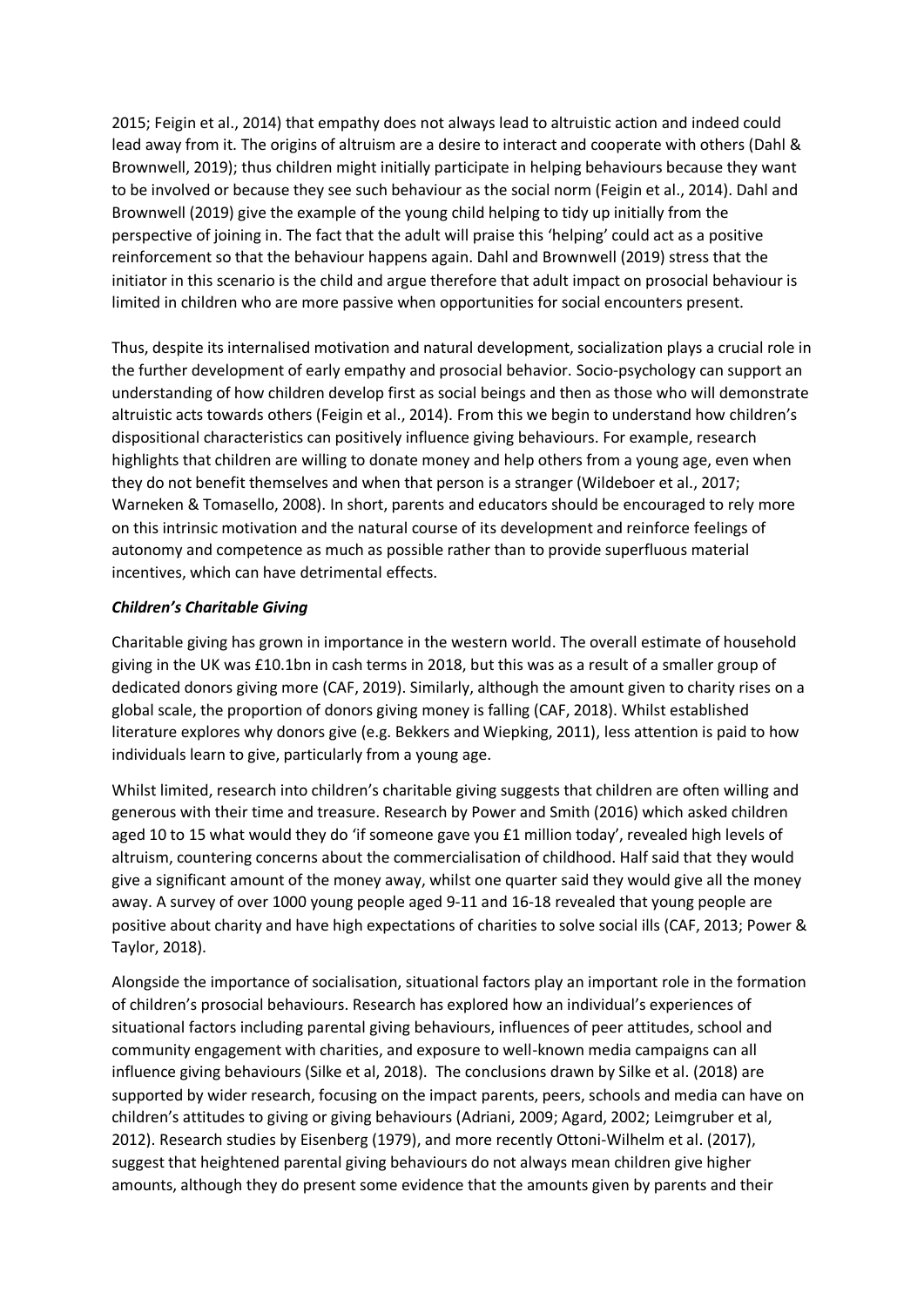2015; Feigin et al., 2014) that empathy does not always lead to altruistic action and indeed could lead away from it. The origins of altruism are a desire to interact and cooperate with others (Dahl & Brownwell, 2019); thus children might initially participate in helping behaviours because they want to be involved or because they see such behaviour as the social norm (Feigin et al., 2014). Dahl and Brownwell (2019) give the example of the young child helping to tidy up initially from the perspective of joining in. The fact that the adult will praise this 'helping' could act as a positive reinforcement so that the behaviour happens again. Dahl and Brownwell (2019) stress that the initiator in this scenario is the child and argue therefore that adult impact on prosocial behaviour is limited in children who are more passive when opportunities for social encounters present.

Thus, despite its internalised motivation and natural development, socialization plays a crucial role in the further development of early empathy and prosocial behavior. Socio-psychology can support an understanding of how children develop first as social beings and then as those who will demonstrate altruistic acts towards others (Feigin et al., 2014). From this we begin to understand how children's dispositional characteristics can positively influence giving behaviours. For example, research highlights that children are willing to donate money and help others from a young age, even when they do not benefit themselves and when that person is a stranger (Wildeboer et al., 2017; Warneken & Tomasello, 2008). In short, parents and educators should be encouraged to rely more on this intrinsic motivation and the natural course of its development and reinforce feelings of autonomy and competence as much as possible rather than to provide superfluous material incentives, which can have detrimental effects.

#### *Children's Charitable Giving*

Charitable giving has grown in importance in the western world. The overall estimate of household giving in the UK was £10.1bn in cash terms in 2018, but this was as a result of a smaller group of dedicated donors giving more (CAF, 2019). Similarly, although the amount given to charity rises on a global scale, the proportion of donors giving money is falling (CAF, 2018). Whilst established literature explores why donors give (e.g. Bekkers and Wiepking, 2011), less attention is paid to how individuals learn to give, particularly from a young age.

Whilst limited, research into children's charitable giving suggests that children are often willing and generous with their time and treasure. Research by Power and Smith (2016) which asked children aged 10 to 15 what would they do 'if someone gave you £1 million today', revealed high levels of altruism, countering concerns about the commercialisation of childhood. Half said that they would give a significant amount of the money away, whilst one quarter said they would give all the money away. A survey of over 1000 young people aged 9-11 and 16-18 revealed that young people are positive about charity and have high expectations of charities to solve social ills (CAF, 2013; Power & Taylor, 2018).

Alongside the importance of socialisation, situational factors play an important role in the formation of children's prosocial behaviours. Research has explored how an individual's experiences of situational factors including parental giving behaviours, influences of peer attitudes, school and community engagement with charities, and exposure to well-known media campaigns can all influence giving behaviours (Silke et al, 2018). The conclusions drawn by Silke et al. (2018) are supported by wider research, focusing on the impact parents, peers, schools and media can have on children's attitudes to giving or giving behaviours (Adriani, 2009; Agard, 2002; Leimgruber et al, 2012). Research studies by Eisenberg (1979), and more recently Ottoni-Wilhelm et al. (2017), suggest that heightened parental giving behaviours do not always mean children give higher amounts, although they do present some evidence that the amounts given by parents and their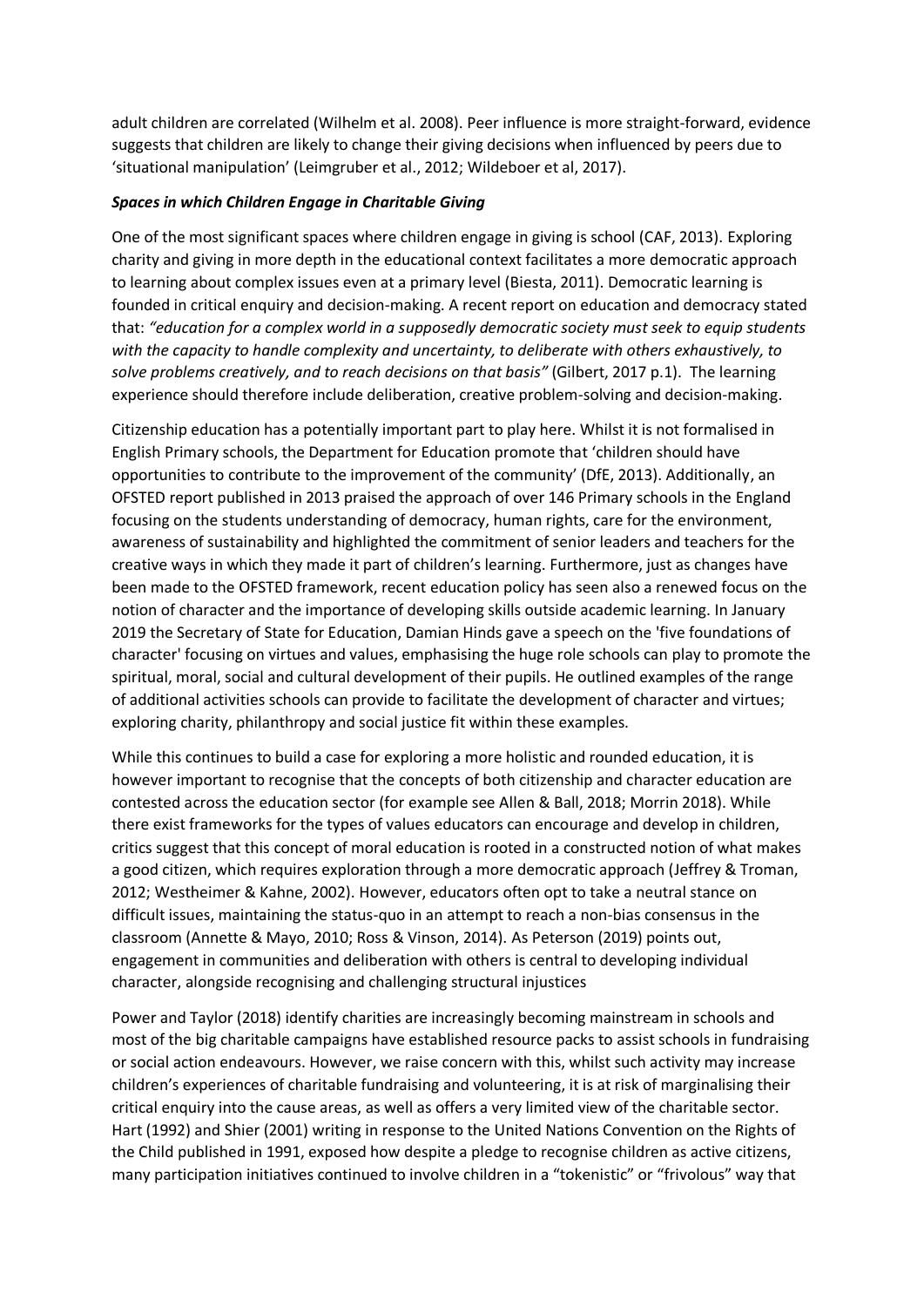adult children are correlated (Wilhelm et al. 2008). Peer influence is more straight-forward, evidence suggests that children are likely to change their giving decisions when influenced by peers due to 'situational manipulation' (Leimgruber et al., 2012; Wildeboer et al, 2017).

#### *Spaces in which Children Engage in Charitable Giving*

One of the most significant spaces where children engage in giving is school (CAF, 2013). Exploring charity and giving in more depth in the educational context facilitates a more democratic approach to learning about complex issues even at a primary level (Biesta, 2011). Democratic learning is founded in critical enquiry and decision-making. A recent report on education and democracy stated that: *"education for a complex world in a supposedly democratic society must seek to equip students with the capacity to handle complexity and uncertainty, to deliberate with others exhaustively, to solve problems creatively, and to reach decisions on that basis"* (Gilbert, 2017 p.1). The learning experience should therefore include deliberation, creative problem-solving and decision-making.

Citizenship education has a potentially important part to play here. Whilst it is not formalised in English Primary schools, the Department for Education promote that 'children should have opportunities to contribute to the improvement of the community' (DfE, 2013). Additionally, an OFSTED report published in 2013 praised the approach of over 146 Primary schools in the England focusing on the students understanding of democracy, human rights, care for the environment, awareness of sustainability and highlighted the commitment of senior leaders and teachers for the creative ways in which they made it part of children's learning. Furthermore, just as changes have been made to the OFSTED framework, recent education policy has seen also a renewed focus on the notion of character and the importance of developing skills outside academic learning. In January 2019 the Secretary of State for Education, Damian Hinds gave a speech on the 'five foundations of character' focusing on virtues and values, emphasising the huge role schools can play to promote the spiritual, moral, social and cultural development of their pupils. He outlined examples of the range of additional activities schools can provide to facilitate the development of character and virtues; exploring charity, philanthropy and social justice fit within these examples.

While this continues to build a case for exploring a more holistic and rounded education, it is however important to recognise that the concepts of both citizenship and character education are contested across the education sector (for example see Allen & Ball, 2018; Morrin 2018). While there exist frameworks for the types of values educators can encourage and develop in children, critics suggest that this concept of moral education is rooted in a constructed notion of what makes a good citizen, which requires exploration through a more democratic approach (Jeffrey & Troman, 2012; Westheimer & Kahne, 2002). However, educators often opt to take a neutral stance on difficult issues, maintaining the status-quo in an attempt to reach a non-bias consensus in the classroom (Annette & Mayo, 2010; Ross & Vinson, 2014). As Peterson (2019) points out, engagement in communities and deliberation with others is central to developing individual character, alongside recognising and challenging structural injustices

Power and Taylor (2018) identify charities are increasingly becoming mainstream in schools and most of the big charitable campaigns have established resource packs to assist schools in fundraising or social action endeavours. However, we raise concern with this, whilst such activity may increase children's experiences of charitable fundraising and volunteering, it is at risk of marginalising their critical enquiry into the cause areas, as well as offers a very limited view of the charitable sector. Hart (1992) and Shier (2001) writing in response to the United Nations Convention on the Rights of the Child published in 1991, exposed how despite a pledge to recognise children as active citizens, many participation initiatives continued to involve children in a "tokenistic" or "frivolous" way that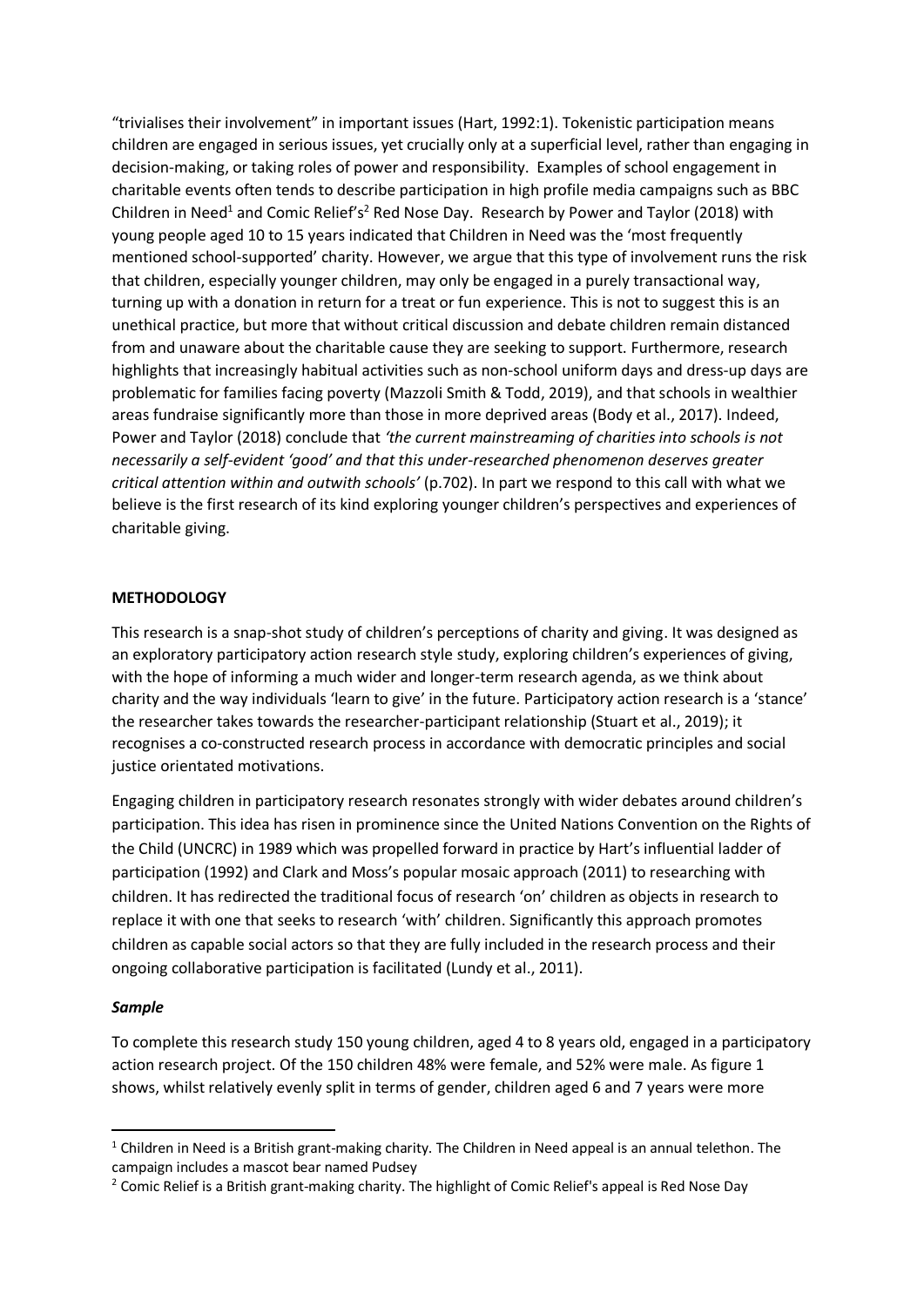"trivialises their involvement" in important issues (Hart, 1992:1). Tokenistic participation means children are engaged in serious issues, yet crucially only at a superficial level, rather than engaging in decision-making, or taking roles of power and responsibility. Examples of school engagement in charitable events often tends to describe participation in high profile media campaigns such as BBC Children in Need<sup>1</sup> and Comic Relief's<sup>2</sup> Red Nose Day. Research by Power and Taylor (2018) with young people aged 10 to 15 years indicated that Children in Need was the 'most frequently mentioned school-supported' charity. However, we argue that this type of involvement runs the risk that children, especially younger children, may only be engaged in a purely transactional way, turning up with a donation in return for a treat or fun experience. This is not to suggest this is an unethical practice, but more that without critical discussion and debate children remain distanced from and unaware about the charitable cause they are seeking to support. Furthermore, research highlights that increasingly habitual activities such as non-school uniform days and dress-up days are problematic for families facing poverty (Mazzoli Smith & Todd, 2019), and that schools in wealthier areas fundraise significantly more than those in more deprived areas (Body et al., 2017). Indeed, Power and Taylor (2018) conclude that *'the current mainstreaming of charities into schools is not necessarily a self-evident 'good' and that this under-researched phenomenon deserves greater critical attention within and outwith schools'* (p.702). In part we respond to this call with what we believe is the first research of its kind exploring younger children's perspectives and experiences of charitable giving.

#### **METHODOLOGY**

This research is a snap-shot study of children's perceptions of charity and giving. It was designed as an exploratory participatory action research style study, exploring children's experiences of giving, with the hope of informing a much wider and longer-term research agenda, as we think about charity and the way individuals 'learn to give' in the future. Participatory action research is a 'stance' the researcher takes towards the researcher-participant relationship (Stuart et al., 2019); it recognises a co-constructed research process in accordance with democratic principles and social justice orientated motivations.

Engaging children in participatory research resonates strongly with wider debates around children's participation. This idea has risen in prominence since the United Nations Convention on the Rights of the Child (UNCRC) in 1989 which was propelled forward in practice by Hart's influential ladder of participation (1992) and Clark and Moss's popular mosaic approach (2011) to researching with children. It has redirected the traditional focus of research 'on' children as objects in research to replace it with one that seeks to research 'with' children. Significantly this approach promotes children as capable social actors so that they are fully included in the research process and their ongoing collaborative participation is facilitated (Lundy et al., 2011).

#### *Sample*

1

To complete this research study 150 young children, aged 4 to 8 years old, engaged in a participatory action research project. Of the 150 children 48% were female, and 52% were male. As figure 1 shows, whilst relatively evenly split in terms of gender, children aged 6 and 7 years were more

 $1$  Children in Need is a British grant-making charity. The Children in Need appeal is an annual telethon. The campaign includes a mascot bear named Pudsey

<sup>&</sup>lt;sup>2</sup> Comic Relief is a British grant-making charity. The highlight of Comic Relief's appeal is Red Nose Day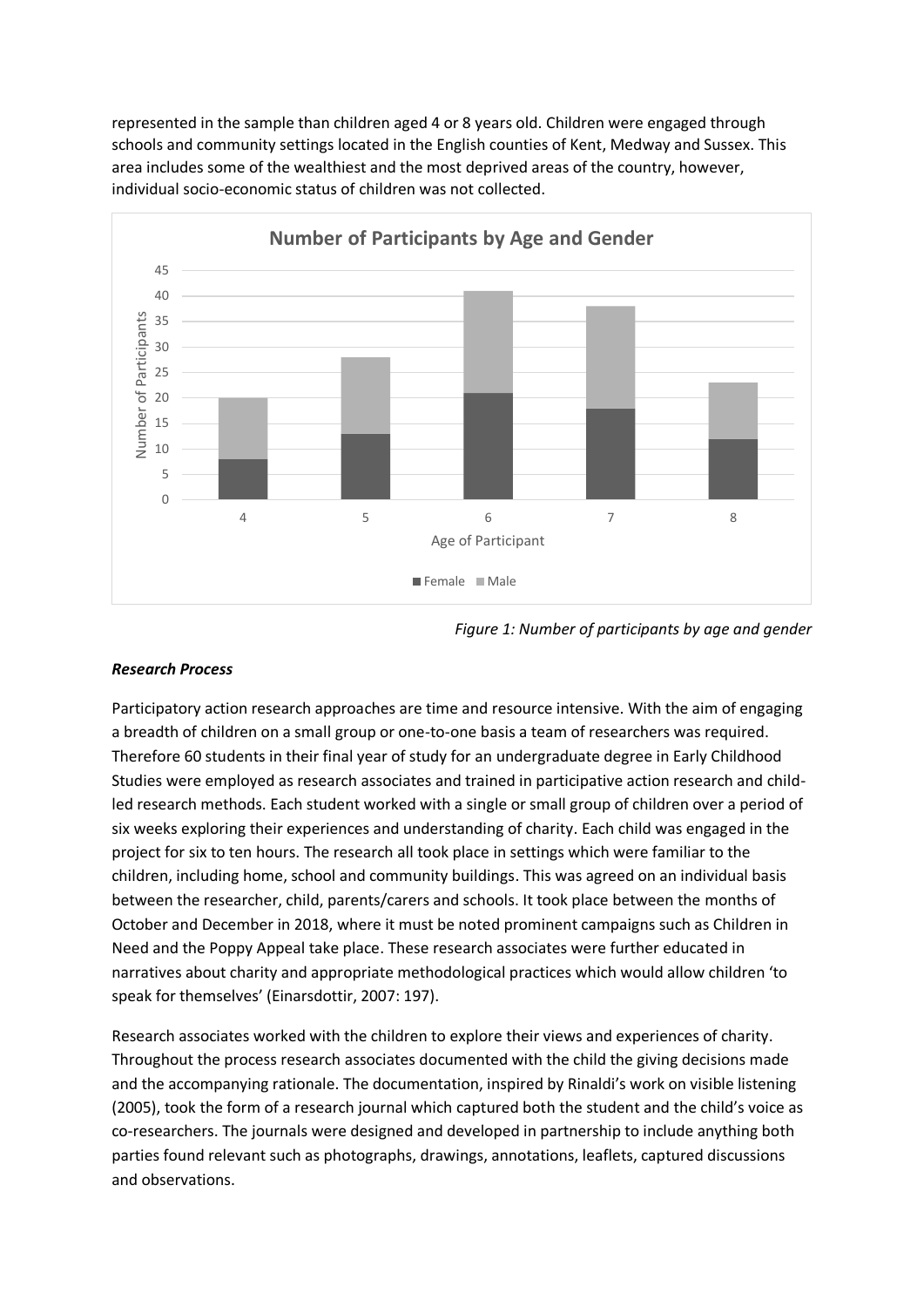represented in the sample than children aged 4 or 8 years old. Children were engaged through schools and community settings located in the English counties of Kent, Medway and Sussex. This area includes some of the wealthiest and the most deprived areas of the country, however, individual socio-economic status of children was not collected.



*Figure 1: Number of participants by age and gender*

#### *Research Process*

Participatory action research approaches are time and resource intensive. With the aim of engaging a breadth of children on a small group or one-to-one basis a team of researchers was required. Therefore 60 students in their final year of study for an undergraduate degree in Early Childhood Studies were employed as research associates and trained in participative action research and childled research methods. Each student worked with a single or small group of children over a period of six weeks exploring their experiences and understanding of charity. Each child was engaged in the project for six to ten hours. The research all took place in settings which were familiar to the children, including home, school and community buildings. This was agreed on an individual basis between the researcher, child, parents/carers and schools. It took place between the months of October and December in 2018, where it must be noted prominent campaigns such as Children in Need and the Poppy Appeal take place. These research associates were further educated in narratives about charity and appropriate methodological practices which would allow children 'to speak for themselves' (Einarsdottir, 2007: 197).

Research associates worked with the children to explore their views and experiences of charity. Throughout the process research associates documented with the child the giving decisions made and the accompanying rationale. The documentation, inspired by Rinaldi's work on visible listening (2005), took the form of a research journal which captured both the student and the child's voice as co-researchers. The journals were designed and developed in partnership to include anything both parties found relevant such as photographs, drawings, annotations, leaflets, captured discussions and observations.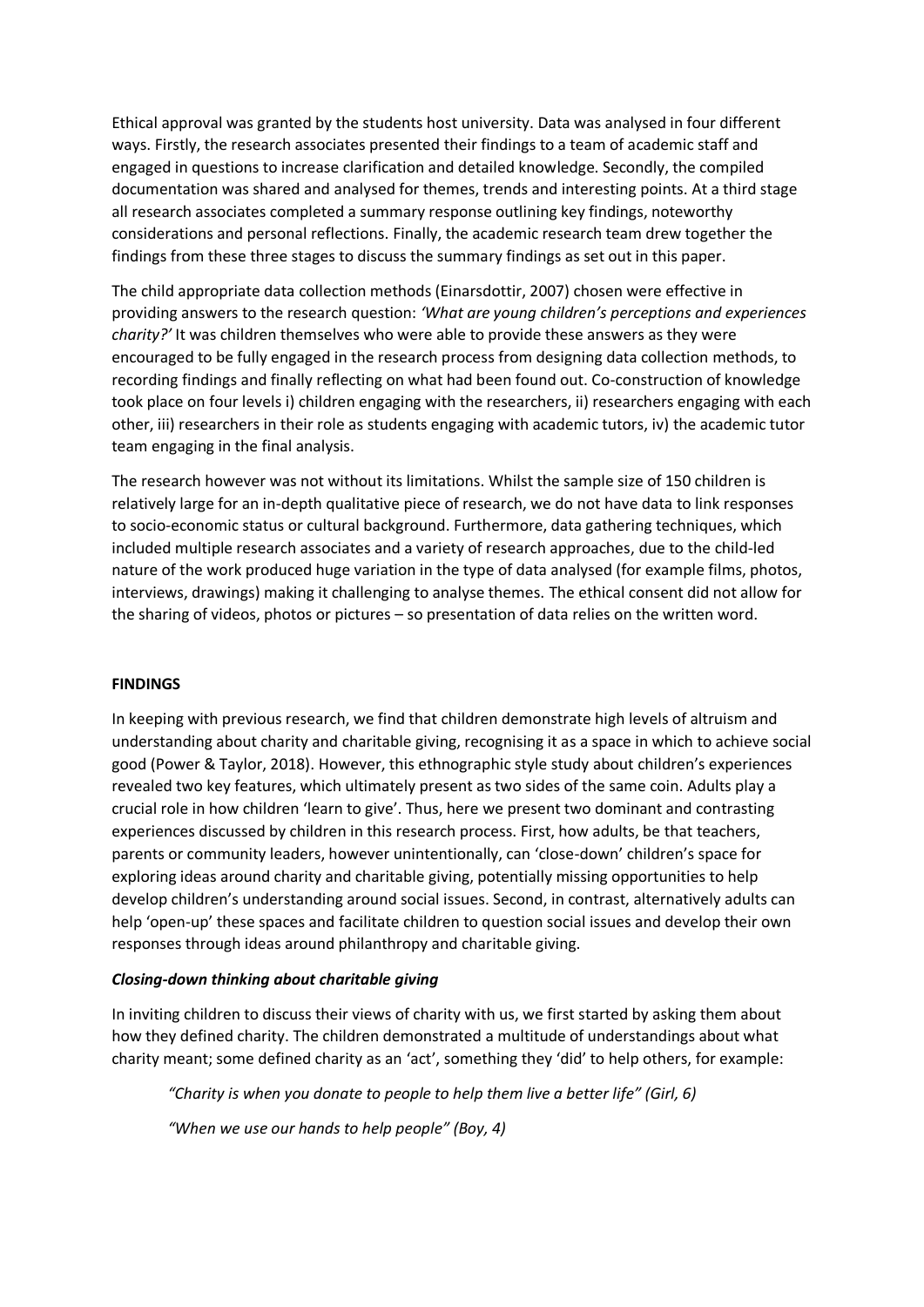Ethical approval was granted by the students host university. Data was analysed in four different ways. Firstly, the research associates presented their findings to a team of academic staff and engaged in questions to increase clarification and detailed knowledge. Secondly, the compiled documentation was shared and analysed for themes, trends and interesting points. At a third stage all research associates completed a summary response outlining key findings, noteworthy considerations and personal reflections. Finally, the academic research team drew together the findings from these three stages to discuss the summary findings as set out in this paper.

The child appropriate data collection methods (Einarsdottir, 2007) chosen were effective in providing answers to the research question: *'What are young children's perceptions and experiences charity?'* It was children themselves who were able to provide these answers as they were encouraged to be fully engaged in the research process from designing data collection methods, to recording findings and finally reflecting on what had been found out. Co-construction of knowledge took place on four levels i) children engaging with the researchers, ii) researchers engaging with each other, iii) researchers in their role as students engaging with academic tutors, iv) the academic tutor team engaging in the final analysis.

The research however was not without its limitations. Whilst the sample size of 150 children is relatively large for an in-depth qualitative piece of research, we do not have data to link responses to socio-economic status or cultural background. Furthermore, data gathering techniques, which included multiple research associates and a variety of research approaches, due to the child-led nature of the work produced huge variation in the type of data analysed (for example films, photos, interviews, drawings) making it challenging to analyse themes. The ethical consent did not allow for the sharing of videos, photos or pictures – so presentation of data relies on the written word.

#### **FINDINGS**

In keeping with previous research, we find that children demonstrate high levels of altruism and understanding about charity and charitable giving, recognising it as a space in which to achieve social good (Power & Taylor, 2018). However, this ethnographic style study about children's experiences revealed two key features, which ultimately present as two sides of the same coin. Adults play a crucial role in how children 'learn to give'. Thus, here we present two dominant and contrasting experiences discussed by children in this research process. First, how adults, be that teachers, parents or community leaders, however unintentionally, can 'close-down' children's space for exploring ideas around charity and charitable giving, potentially missing opportunities to help develop children's understanding around social issues. Second, in contrast, alternatively adults can help 'open-up' these spaces and facilitate children to question social issues and develop their own responses through ideas around philanthropy and charitable giving.

#### *Closing-down thinking about charitable giving*

In inviting children to discuss their views of charity with us, we first started by asking them about how they defined charity. The children demonstrated a multitude of understandings about what charity meant; some defined charity as an 'act', something they 'did' to help others, for example:

*"Charity is when you donate to people to help them live a better life" (Girl, 6)*

*"When we use our hands to help people" (Boy, 4)*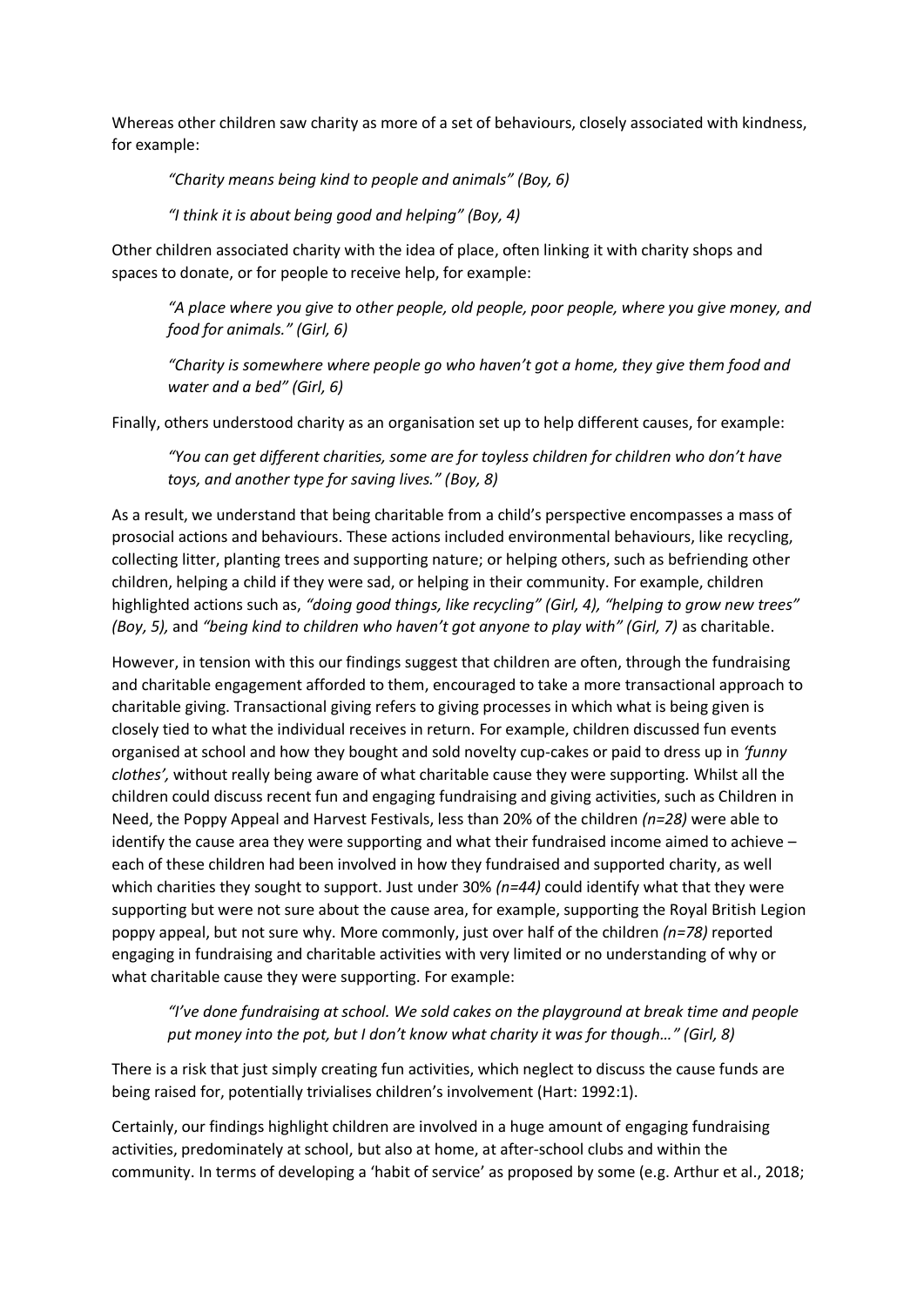Whereas other children saw charity as more of a set of behaviours, closely associated with kindness, for example:

*"Charity means being kind to people and animals" (Boy, 6)*

*"I think it is about being good and helping" (Boy, 4)*

Other children associated charity with the idea of place, often linking it with charity shops and spaces to donate, or for people to receive help, for example:

*"A place where you give to other people, old people, poor people, where you give money, and food for animals." (Girl, 6)*

*"Charity is somewhere where people go who haven't got a home, they give them food and water and a bed" (Girl, 6)*

Finally, others understood charity as an organisation set up to help different causes, for example:

*"You can get different charities, some are for toyless children for children who don't have toys, and another type for saving lives." (Boy, 8)*

As a result, we understand that being charitable from a child's perspective encompasses a mass of prosocial actions and behaviours. These actions included environmental behaviours, like recycling, collecting litter, planting trees and supporting nature; or helping others, such as befriending other children, helping a child if they were sad, or helping in their community. For example, children highlighted actions such as, *"doing good things, like recycling" (Girl, 4), "helping to grow new trees" (Bov, 5), and "being kind to children who haven't got anyone to play with" (Girl, 7) as charitable.* 

However, in tension with this our findings suggest that children are often, through the fundraising and charitable engagement afforded to them, encouraged to take a more transactional approach to charitable giving. Transactional giving refers to giving processes in which what is being given is closely tied to what the individual receives in return. For example, children discussed fun events organised at school and how they bought and sold novelty cup-cakes or paid to dress up in *'funny clothes',* without really being aware of what charitable cause they were supporting*.* Whilst all the children could discuss recent fun and engaging fundraising and giving activities, such as Children in Need, the Poppy Appeal and Harvest Festivals, less than 20% of the children *(n=28)* were able to identify the cause area they were supporting and what their fundraised income aimed to achieve – each of these children had been involved in how they fundraised and supported charity, as well which charities they sought to support. Just under 30% *(n=44)* could identify what that they were supporting but were not sure about the cause area, for example, supporting the Royal British Legion poppy appeal, but not sure why. More commonly, just over half of the children *(n=78)* reported engaging in fundraising and charitable activities with very limited or no understanding of why or what charitable cause they were supporting. For example:

*"I've done fundraising at school. We sold cakes on the playground at break time and people put money into the pot, but I don't know what charity it was for though…" (Girl, 8)*

There is a risk that just simply creating fun activities, which neglect to discuss the cause funds are being raised for, potentially trivialises children's involvement (Hart: 1992:1).

Certainly, our findings highlight children are involved in a huge amount of engaging fundraising activities, predominately at school, but also at home, at after-school clubs and within the community. In terms of developing a 'habit of service' as proposed by some (e.g. Arthur et al., 2018;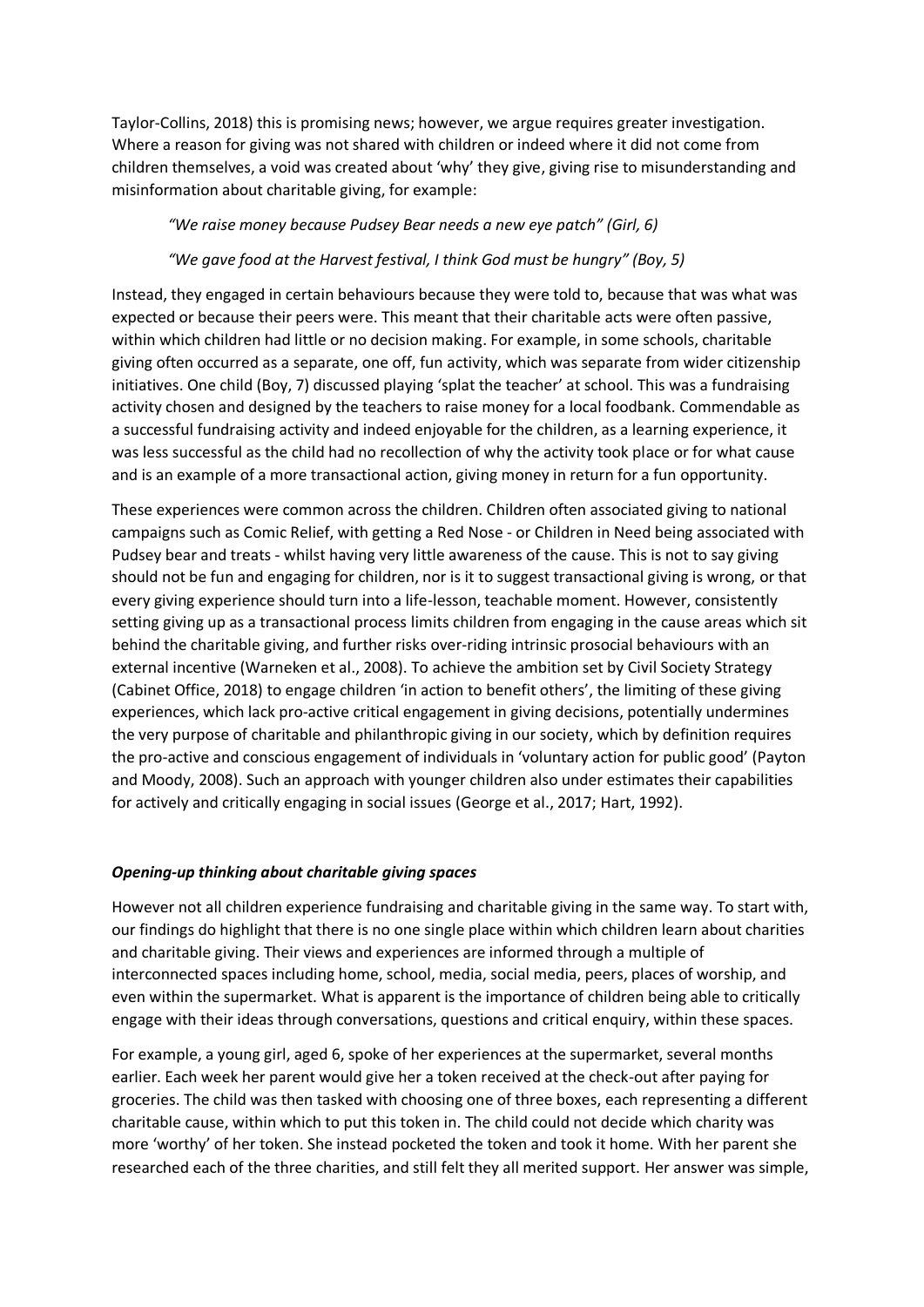Taylor-Collins, 2018) this is promising news; however, we argue requires greater investigation. Where a reason for giving was not shared with children or indeed where it did not come from children themselves, a void was created about 'why' they give, giving rise to misunderstanding and misinformation about charitable giving, for example:

*"We raise money because Pudsey Bear needs a new eye patch" (Girl, 6)*

*"We gave food at the Harvest festival, I think God must be hungry" (Boy, 5)*

Instead, they engaged in certain behaviours because they were told to, because that was what was expected or because their peers were. This meant that their charitable acts were often passive, within which children had little or no decision making. For example, in some schools, charitable giving often occurred as a separate, one off, fun activity, which was separate from wider citizenship initiatives. One child (Boy, 7) discussed playing 'splat the teacher' at school. This was a fundraising activity chosen and designed by the teachers to raise money for a local foodbank. Commendable as a successful fundraising activity and indeed enjoyable for the children, as a learning experience, it was less successful as the child had no recollection of why the activity took place or for what cause and is an example of a more transactional action, giving money in return for a fun opportunity.

These experiences were common across the children. Children often associated giving to national campaigns such as Comic Relief, with getting a Red Nose - or Children in Need being associated with Pudsey bear and treats - whilst having very little awareness of the cause. This is not to say giving should not be fun and engaging for children, nor is it to suggest transactional giving is wrong, or that every giving experience should turn into a life-lesson, teachable moment. However, consistently setting giving up as a transactional process limits children from engaging in the cause areas which sit behind the charitable giving, and further risks over-riding intrinsic prosocial behaviours with an external incentive (Warneken et al., 2008). To achieve the ambition set by Civil Society Strategy (Cabinet Office, 2018) to engage children 'in action to benefit others', the limiting of these giving experiences, which lack pro-active critical engagement in giving decisions, potentially undermines the very purpose of charitable and philanthropic giving in our society, which by definition requires the pro-active and conscious engagement of individuals in 'voluntary action for public good' (Payton and Moody, 2008). Such an approach with younger children also under estimates their capabilities for actively and critically engaging in social issues (George et al., 2017; Hart, 1992).

#### *Opening-up thinking about charitable giving spaces*

However not all children experience fundraising and charitable giving in the same way. To start with, our findings do highlight that there is no one single place within which children learn about charities and charitable giving. Their views and experiences are informed through a multiple of interconnected spaces including home, school, media, social media, peers, places of worship, and even within the supermarket. What is apparent is the importance of children being able to critically engage with their ideas through conversations, questions and critical enquiry, within these spaces.

For example, a young girl, aged 6, spoke of her experiences at the supermarket, several months earlier. Each week her parent would give her a token received at the check-out after paying for groceries. The child was then tasked with choosing one of three boxes, each representing a different charitable cause, within which to put this token in. The child could not decide which charity was more 'worthy' of her token. She instead pocketed the token and took it home. With her parent she researched each of the three charities, and still felt they all merited support. Her answer was simple,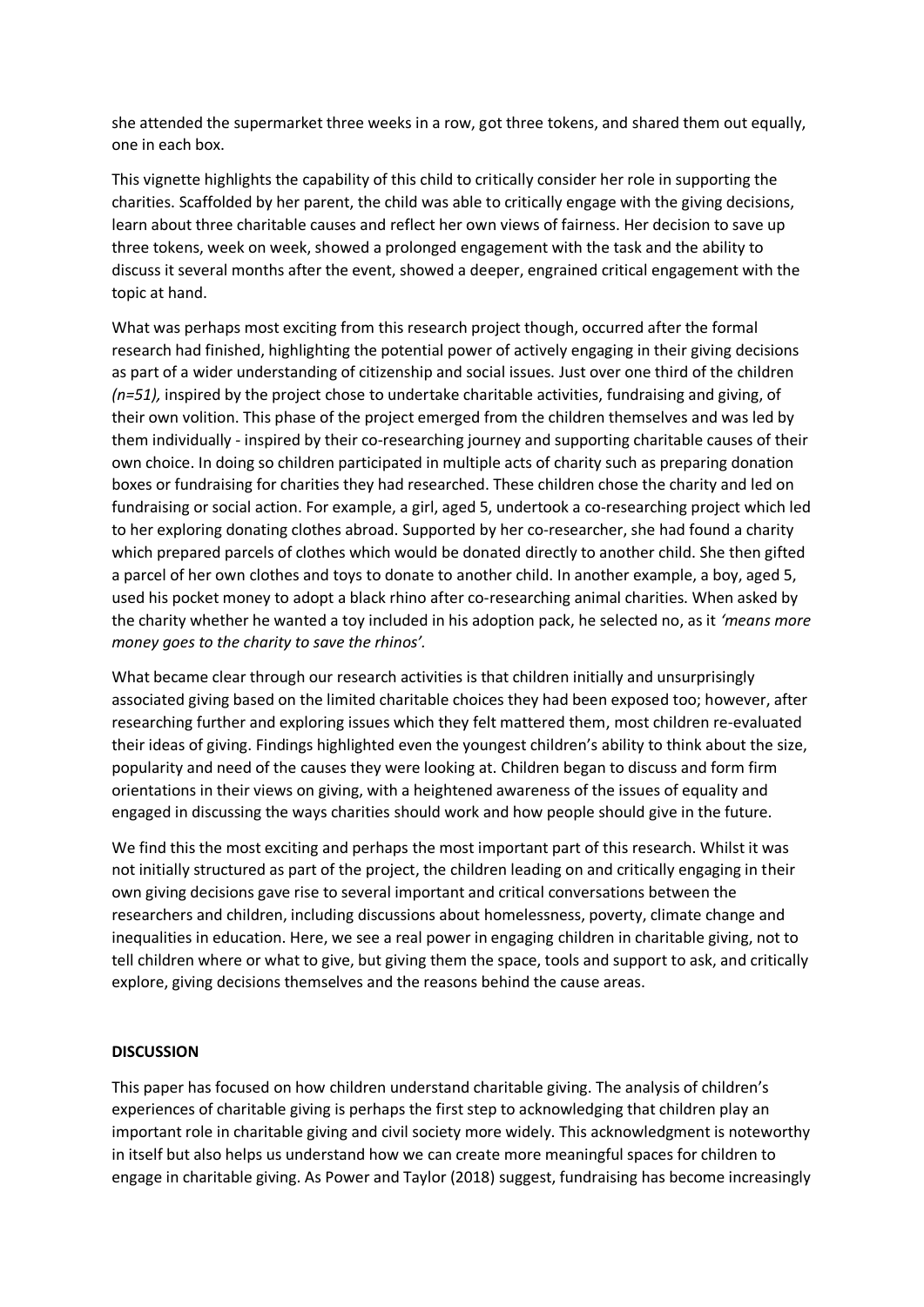she attended the supermarket three weeks in a row, got three tokens, and shared them out equally, one in each box.

This vignette highlights the capability of this child to critically consider her role in supporting the charities. Scaffolded by her parent, the child was able to critically engage with the giving decisions, learn about three charitable causes and reflect her own views of fairness. Her decision to save up three tokens, week on week, showed a prolonged engagement with the task and the ability to discuss it several months after the event, showed a deeper, engrained critical engagement with the topic at hand.

What was perhaps most exciting from this research project though, occurred after the formal research had finished, highlighting the potential power of actively engaging in their giving decisions as part of a wider understanding of citizenship and social issues. Just over one third of the children *(n=51),* inspired by the project chose to undertake charitable activities, fundraising and giving, of their own volition. This phase of the project emerged from the children themselves and was led by them individually - inspired by their co-researching journey and supporting charitable causes of their own choice. In doing so children participated in multiple acts of charity such as preparing donation boxes or fundraising for charities they had researched. These children chose the charity and led on fundraising or social action. For example, a girl, aged 5, undertook a co-researching project which led to her exploring donating clothes abroad. Supported by her co-researcher, she had found a charity which prepared parcels of clothes which would be donated directly to another child. She then gifted a parcel of her own clothes and toys to donate to another child. In another example, a boy, aged 5, used his pocket money to adopt a black rhino after co-researching animal charities. When asked by the charity whether he wanted a toy included in his adoption pack, he selected no, as it *'means more money goes to the charity to save the rhinos'.*

What became clear through our research activities is that children initially and unsurprisingly associated giving based on the limited charitable choices they had been exposed too; however, after researching further and exploring issues which they felt mattered them, most children re-evaluated their ideas of giving. Findings highlighted even the youngest children's ability to think about the size, popularity and need of the causes they were looking at. Children began to discuss and form firm orientations in their views on giving, with a heightened awareness of the issues of equality and engaged in discussing the ways charities should work and how people should give in the future.

We find this the most exciting and perhaps the most important part of this research. Whilst it was not initially structured as part of the project, the children leading on and critically engaging in their own giving decisions gave rise to several important and critical conversations between the researchers and children, including discussions about homelessness, poverty, climate change and inequalities in education. Here, we see a real power in engaging children in charitable giving, not to tell children where or what to give, but giving them the space, tools and support to ask, and critically explore, giving decisions themselves and the reasons behind the cause areas.

#### **DISCUSSION**

This paper has focused on how children understand charitable giving. The analysis of children's experiences of charitable giving is perhaps the first step to acknowledging that children play an important role in charitable giving and civil society more widely. This acknowledgment is noteworthy in itself but also helps us understand how we can create more meaningful spaces for children to engage in charitable giving. As Power and Taylor (2018) suggest, fundraising has become increasingly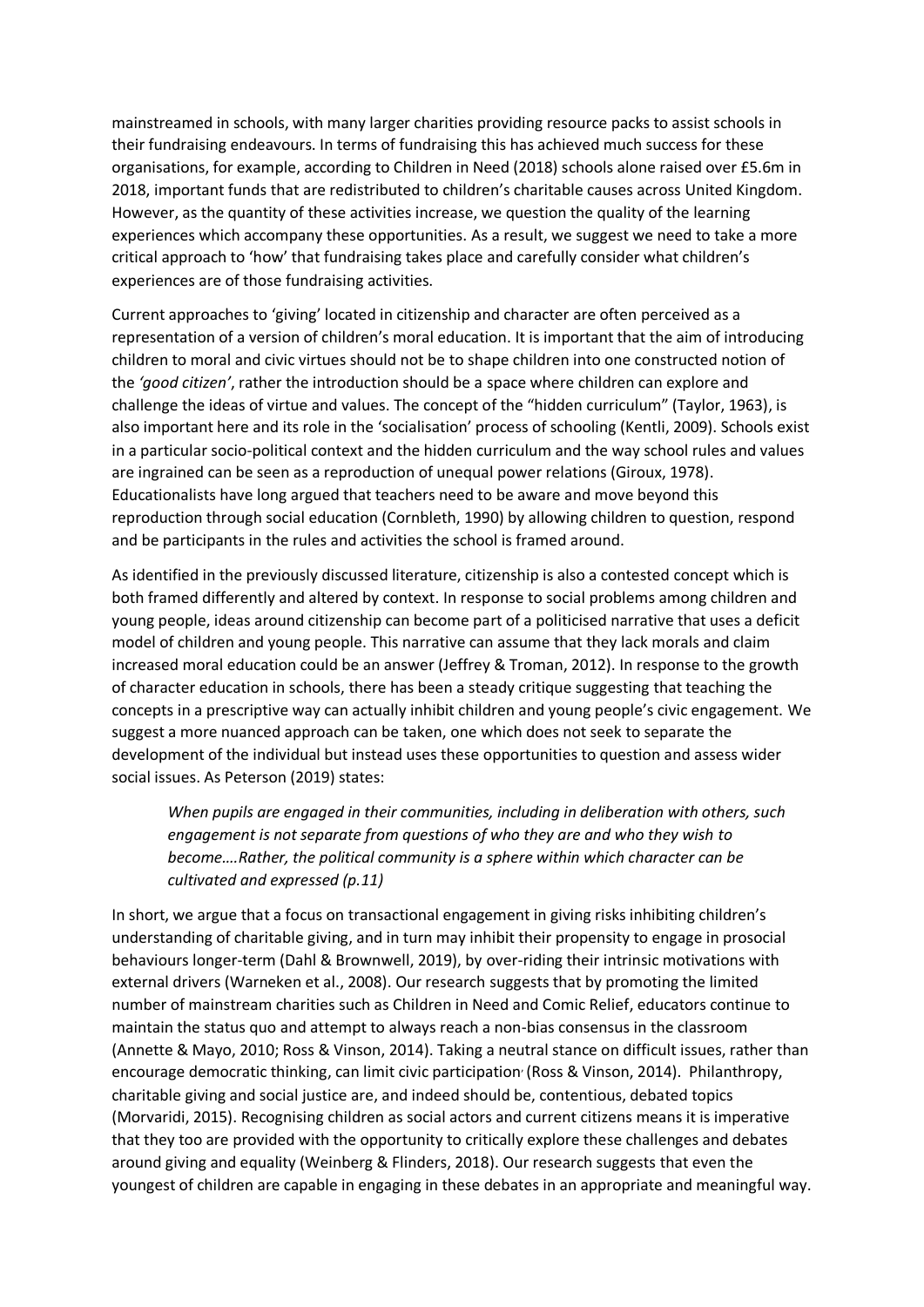mainstreamed in schools, with many larger charities providing resource packs to assist schools in their fundraising endeavours. In terms of fundraising this has achieved much success for these organisations, for example, according to Children in Need (2018) schools alone raised over £5.6m in 2018, important funds that are redistributed to children's charitable causes across United Kingdom. However, as the quantity of these activities increase, we question the quality of the learning experiences which accompany these opportunities. As a result, we suggest we need to take a more critical approach to 'how' that fundraising takes place and carefully consider what children's experiences are of those fundraising activities.

Current approaches to 'giving' located in citizenship and character are often perceived as a representation of a version of children's moral education. It is important that the aim of introducing children to moral and civic virtues should not be to shape children into one constructed notion of the *'good citizen'*, rather the introduction should be a space where children can explore and challenge the ideas of virtue and values. The concept of the "hidden curriculum" (Taylor, 1963), is also important here and its role in the 'socialisation' process of schooling (Kentli, 2009). Schools exist in a particular socio-political context and the hidden curriculum and the way school rules and values are ingrained can be seen as a reproduction of unequal power relations (Giroux, 1978). Educationalists have long argued that teachers need to be aware and move beyond this reproduction through social education (Cornbleth, 1990) by allowing children to question, respond and be participants in the rules and activities the school is framed around.

As identified in the previously discussed literature, citizenship is also a contested concept which is both framed differently and altered by context. In response to social problems among children and young people, ideas around citizenship can become part of a politicised narrative that uses a deficit model of children and young people. This narrative can assume that they lack morals and claim increased moral education could be an answer (Jeffrey & Troman, 2012). In response to the growth of character education in schools, there has been a steady critique suggesting that teaching the concepts in a prescriptive way can actually inhibit children and young people's civic engagement. We suggest a more nuanced approach can be taken, one which does not seek to separate the development of the individual but instead uses these opportunities to question and assess wider social issues. As Peterson (2019) states:

*When pupils are engaged in their communities, including in deliberation with others, such engagement is not separate from questions of who they are and who they wish to become….Rather, the political community is a sphere within which character can be cultivated and expressed (p.11)*

In short, we argue that a focus on transactional engagement in giving risks inhibiting children's understanding of charitable giving, and in turn may inhibit their propensity to engage in prosocial behaviours longer-term (Dahl & Brownwell, 2019), by over-riding their intrinsic motivations with external drivers (Warneken et al., 2008). Our research suggests that by promoting the limited number of mainstream charities such as Children in Need and Comic Relief, educators continue to maintain the status quo and attempt to always reach a non-bias consensus in the classroom (Annette & Mayo, 2010; Ross & Vinson, 2014). Taking a neutral stance on difficult issues, rather than encourage democratic thinking, can limit civic participation (Ross & Vinson, 2014). Philanthropy, charitable giving and social justice are, and indeed should be, contentious, debated topics (Morvaridi, 2015). Recognising children as social actors and current citizens means it is imperative that they too are provided with the opportunity to critically explore these challenges and debates around giving and equality (Weinberg & Flinders, 2018). Our research suggests that even the youngest of children are capable in engaging in these debates in an appropriate and meaningful way.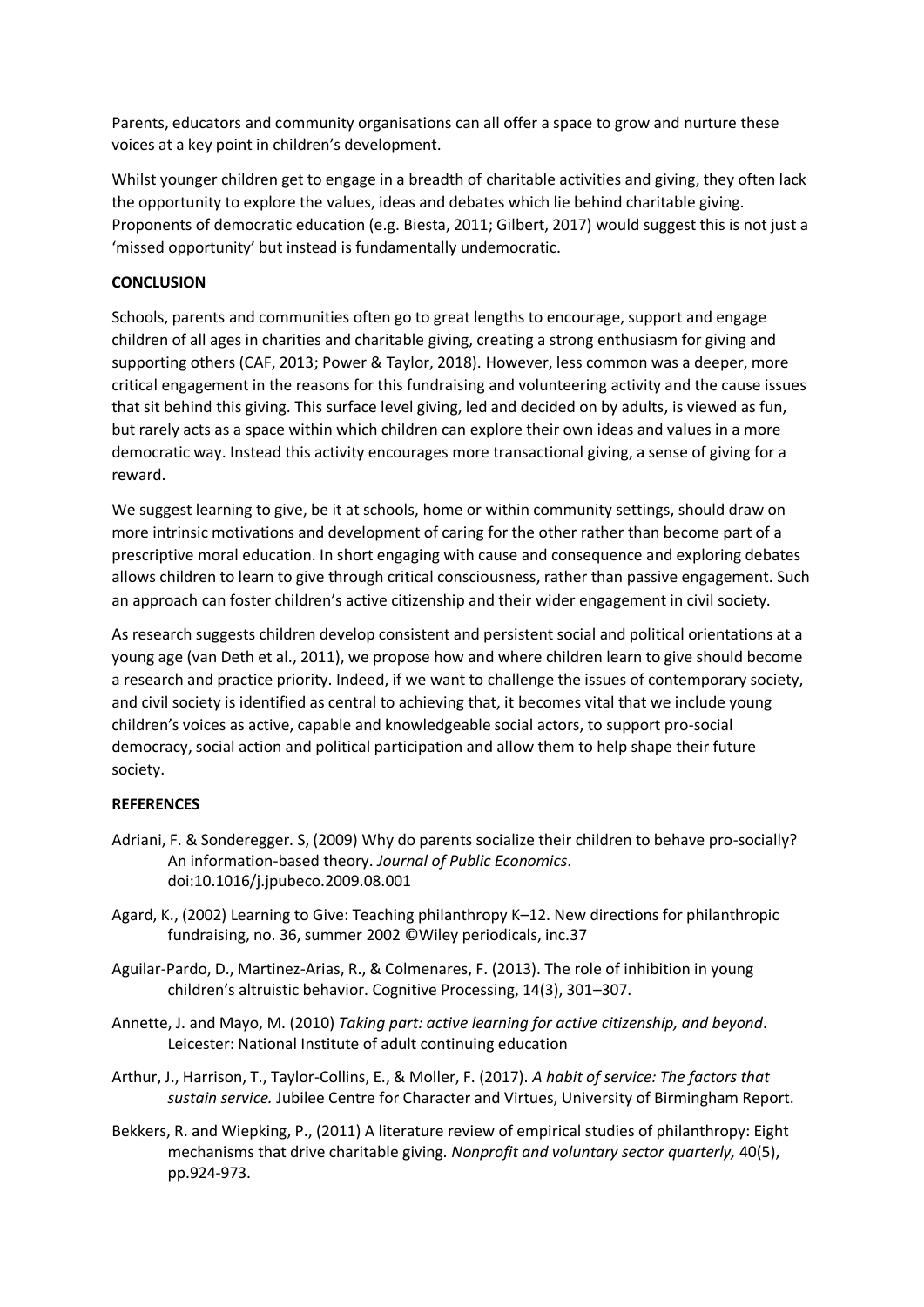Parents, educators and community organisations can all offer a space to grow and nurture these voices at a key point in children's development.

Whilst younger children get to engage in a breadth of charitable activities and giving, they often lack the opportunity to explore the values, ideas and debates which lie behind charitable giving. Proponents of democratic education (e.g. Biesta, 2011; Gilbert, 2017) would suggest this is not just a 'missed opportunity' but instead is fundamentally undemocratic.

#### **CONCLUSION**

Schools, parents and communities often go to great lengths to encourage, support and engage children of all ages in charities and charitable giving, creating a strong enthusiasm for giving and supporting others (CAF, 2013; Power & Taylor, 2018). However, less common was a deeper, more critical engagement in the reasons for this fundraising and volunteering activity and the cause issues that sit behind this giving. This surface level giving, led and decided on by adults, is viewed as fun, but rarely acts as a space within which children can explore their own ideas and values in a more democratic way. Instead this activity encourages more transactional giving, a sense of giving for a reward.

We suggest learning to give, be it at schools, home or within community settings, should draw on more intrinsic motivations and development of caring for the other rather than become part of a prescriptive moral education. In short engaging with cause and consequence and exploring debates allows children to learn to give through critical consciousness, rather than passive engagement. Such an approach can foster children's active citizenship and their wider engagement in civil society.

As research suggests children develop consistent and persistent social and political orientations at a young age (van Deth et al., 2011), we propose how and where children learn to give should become a research and practice priority. Indeed, if we want to challenge the issues of contemporary society, and civil society is identified as central to achieving that, it becomes vital that we include young children's voices as active, capable and knowledgeable social actors, to support pro-social democracy, social action and political participation and allow them to help shape their future society.

#### **REFERENCES**

- Adriani, F. & Sonderegger. S, (2009) Why do parents socialize their children to behave pro-socially? An information-based theory. *Journal of Public Economics*. doi:10.1016/j.jpubeco.2009.08.001
- Agard, K., (2002) Learning to Give: Teaching philanthropy K–12. New directions for philanthropic fundraising, no. 36, summer 2002 ©Wiley periodicals, inc.37
- Aguilar-Pardo, D., Martinez-Arias, R., & Colmenares, F. (2013). The role of inhibition in young children's altruistic behavior. Cognitive Processing, 14(3), 301–307.
- Annette, J. and Mayo, M. (2010) *Taking part: active learning for active citizenship, and beyond*. Leicester: National Institute of adult continuing education
- Arthur, J., Harrison, T., Taylor-Collins, E., & Moller, F. (2017). *A habit of service: The factors that sustain service.* Jubilee Centre for Character and Virtues, University of Birmingham Report.
- Bekkers, R. and Wiepking, P., (2011) A literature review of empirical studies of philanthropy: Eight mechanisms that drive charitable giving. *Nonprofit and voluntary sector quarterly,* 40(5), pp.924-973.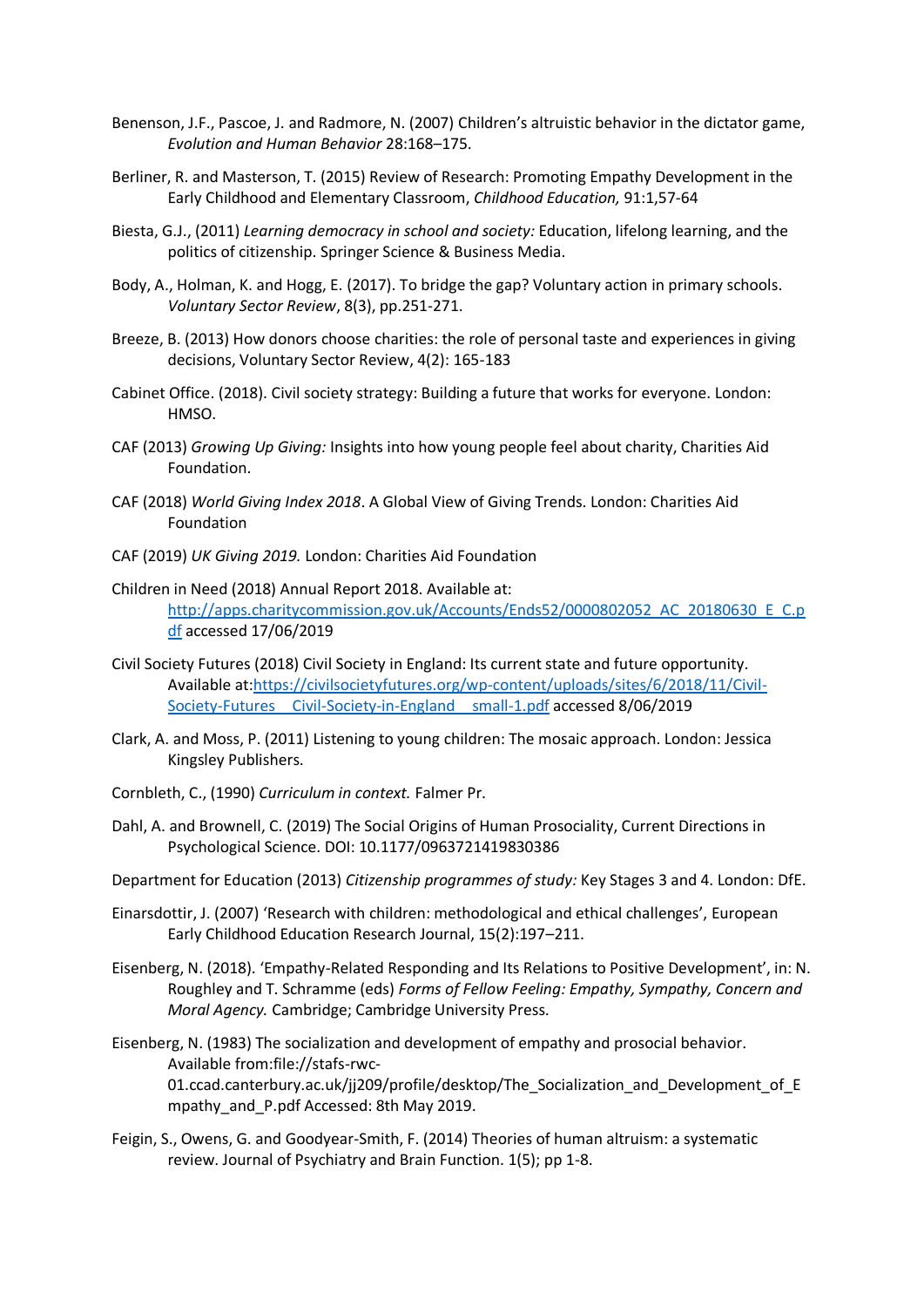- Benenson, J.F., Pascoe, J. and Radmore, N. (2007) Children's altruistic behavior in the dictator game, *Evolution and Human Behavior* 28:168–175.
- Berliner, R. and Masterson, T. (2015) Review of Research: Promoting Empathy Development in the Early Childhood and Elementary Classroom, *Childhood Education,* 91:1,57-64
- Biesta, G.J., (2011) *Learning democracy in school and society:* Education, lifelong learning, and the politics of citizenship. Springer Science & Business Media.
- Body, A., Holman, K. and Hogg, E. (2017). To bridge the gap? Voluntary action in primary schools. *Voluntary Sector Review*, 8(3), pp.251-271.
- Breeze, B. (2013) How donors choose charities: the role of personal taste and experiences in giving decisions, Voluntary Sector Review, 4(2): 165-183
- Cabinet Office. (2018). Civil society strategy: Building a future that works for everyone. London: HMSO.
- CAF (2013) *Growing Up Giving:* Insights into how young people feel about charity, Charities Aid Foundation.
- CAF (2018) *World Giving Index 2018*. A Global View of Giving Trends. London: Charities Aid Foundation
- CAF (2019) *UK Giving 2019.* London: Charities Aid Foundation
- Children in Need (2018) Annual Report 2018. Available at: [http://apps.charitycommission.gov.uk/Accounts/Ends52/0000802052\\_AC\\_20180630\\_E\\_C.p](http://apps.charitycommission.gov.uk/Accounts/Ends52/0000802052_AC_20180630_E_C.pdf) [df](http://apps.charitycommission.gov.uk/Accounts/Ends52/0000802052_AC_20180630_E_C.pdf) accessed 17/06/2019
- Civil Society Futures (2018) Civil Society in England: Its current state and future opportunity. Available at[:https://civilsocietyfutures.org/wp-content/uploads/sites/6/2018/11/Civil-](https://civilsocietyfutures.org/wp-content/uploads/sites/6/2018/11/Civil-Society-Futures__Civil-Society-in-England__small-1.pdf)[Society-Futures\\_\\_Civil-Society-in-England\\_\\_small-1.pdf](https://civilsocietyfutures.org/wp-content/uploads/sites/6/2018/11/Civil-Society-Futures__Civil-Society-in-England__small-1.pdf) accessed 8/06/2019
- Clark, A. and Moss, P. (2011) Listening to young children: The mosaic approach. London: Jessica Kingsley Publishers.
- Cornbleth, C., (1990) *Curriculum in context.* Falmer Pr.
- Dahl, A. and Brownell, C. (2019) The Social Origins of Human Prosociality, Current Directions in Psychological Science. DOI: 10.1177/0963721419830386
- Department for Education (2013) *Citizenship programmes of study:* Key Stages 3 and 4. London: DfE.
- Einarsdottir, J. (2007) 'Research with children: methodological and ethical challenges', European Early Childhood Education Research Journal, 15(2):197–211.
- Eisenberg, N. (2018). 'Empathy-Related Responding and Its Relations to Positive Development', in: N. Roughley and T. Schramme (eds) *Forms of Fellow Feeling: Empathy, Sympathy, Concern and Moral Agency.* Cambridge; Cambridge University Press.
- Eisenberg, N. (1983) The socialization and development of empathy and prosocial behavior. Available from:file://stafs-rwc-01.ccad.canterbury.ac.uk/jj209/profile/desktop/The\_Socialization\_and\_Development\_of\_E mpathy\_and\_P.pdf Accessed: 8th May 2019.
- Feigin, S., Owens, G. and Goodyear-Smith, F. (2014) Theories of human altruism: a systematic review. Journal of Psychiatry and Brain Function. 1(5); pp 1-8.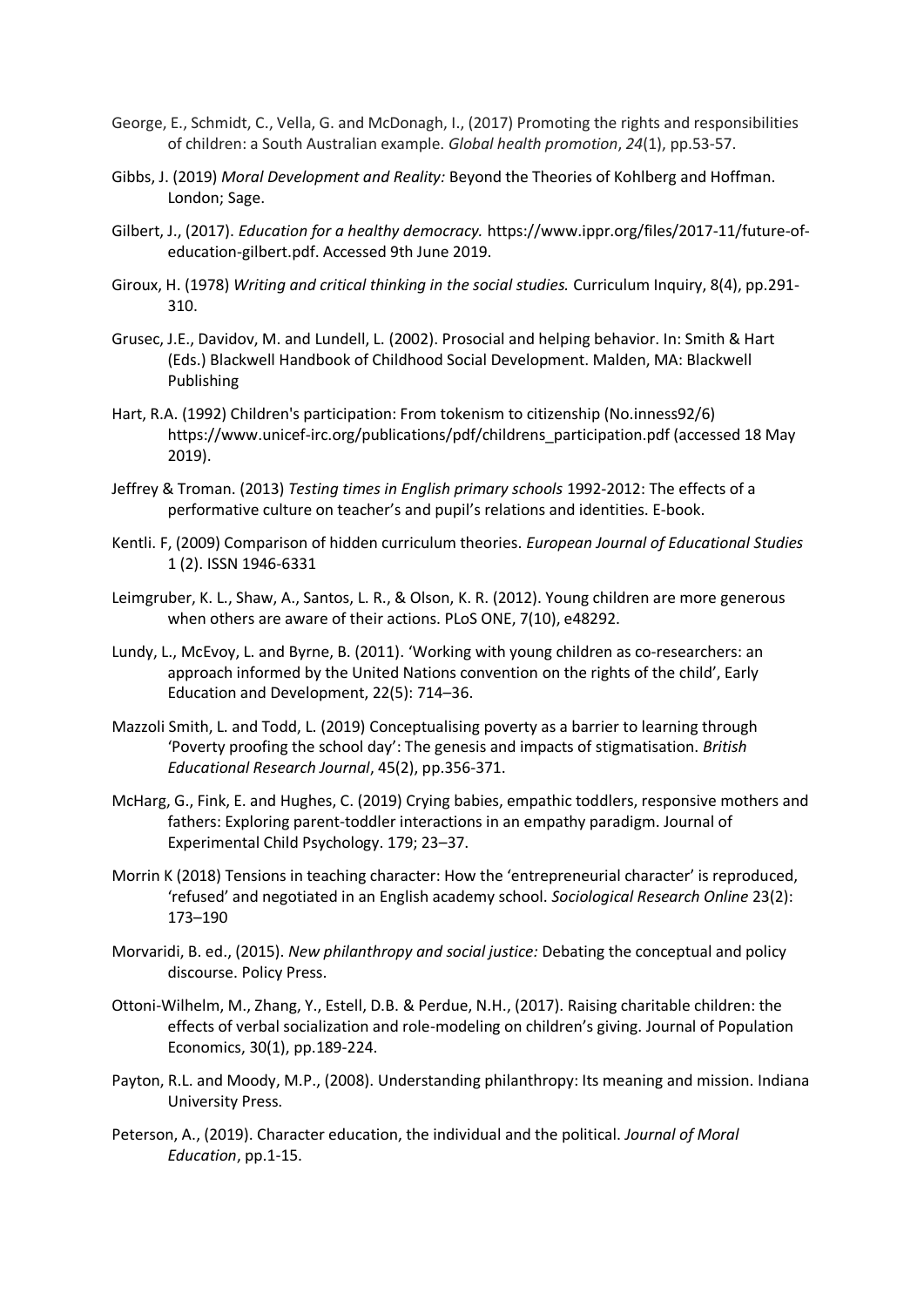- George, E., Schmidt, C., Vella, G. and McDonagh, I., (2017) Promoting the rights and responsibilities of children: a South Australian example. *Global health promotion*, *24*(1), pp.53-57.
- Gibbs, J. (2019) *Moral Development and Reality:* Beyond the Theories of Kohlberg and Hoffman. London; Sage.
- Gilbert, J., (2017). *Education for a healthy democracy.* https://www.ippr.org/files/2017-11/future-ofeducation-gilbert.pdf. Accessed 9th June 2019.
- Giroux, H. (1978) *Writing and critical thinking in the social studies.* Curriculum Inquiry, 8(4), pp.291- 310.
- Grusec, J.E., Davidov, M. and Lundell, L. (2002). Prosocial and helping behavior. In: Smith & Hart (Eds.) Blackwell Handbook of Childhood Social Development. Malden, MA: Blackwell Publishing
- Hart, R.A. (1992) Children's participation: From tokenism to citizenship (No.inness92/6) https://www.unicef-irc.org/publications/pdf/childrens\_participation.pdf (accessed 18 May 2019).
- Jeffrey & Troman. (2013) *Testing times in English primary schools* 1992-2012: The effects of a performative culture on teacher's and pupil's relations and identities. E-book.
- Kentli. F, (2009) Comparison of hidden curriculum theories. *European Journal of Educational Studies* 1 (2). ISSN 1946-6331
- Leimgruber, K. L., Shaw, A., Santos, L. R., & Olson, K. R. (2012). Young children are more generous when others are aware of their actions. PLoS ONE, 7(10), e48292.
- Lundy, L., McEvoy, L. and Byrne, B. (2011). 'Working with young children as co-researchers: an approach informed by the United Nations convention on the rights of the child', Early Education and Development, 22(5): 714–36.
- Mazzoli Smith, L. and Todd, L. (2019) Conceptualising poverty as a barrier to learning through 'Poverty proofing the school day': The genesis and impacts of stigmatisation. *British Educational Research Journal*, 45(2), pp.356-371.
- McHarg, G., Fink, E. and Hughes, C. (2019) Crying babies, empathic toddlers, responsive mothers and fathers: Exploring parent-toddler interactions in an empathy paradigm. Journal of Experimental Child Psychology. 179; 23–37.
- Morrin K (2018) Tensions in teaching character: How the 'entrepreneurial character' is reproduced, 'refused' and negotiated in an English academy school. *Sociological Research Online* 23(2): 173–190
- Morvaridi, B. ed., (2015). *New philanthropy and social justice:* Debating the conceptual and policy discourse. Policy Press.
- Ottoni-Wilhelm, M., Zhang, Y., Estell, D.B. & Perdue, N.H., (2017). Raising charitable children: the effects of verbal socialization and role-modeling on children's giving. Journal of Population Economics, 30(1), pp.189-224.
- Payton, R.L. and Moody, M.P., (2008). Understanding philanthropy: Its meaning and mission. Indiana University Press.
- Peterson, A., (2019). Character education, the individual and the political. *Journal of Moral Education*, pp.1-15.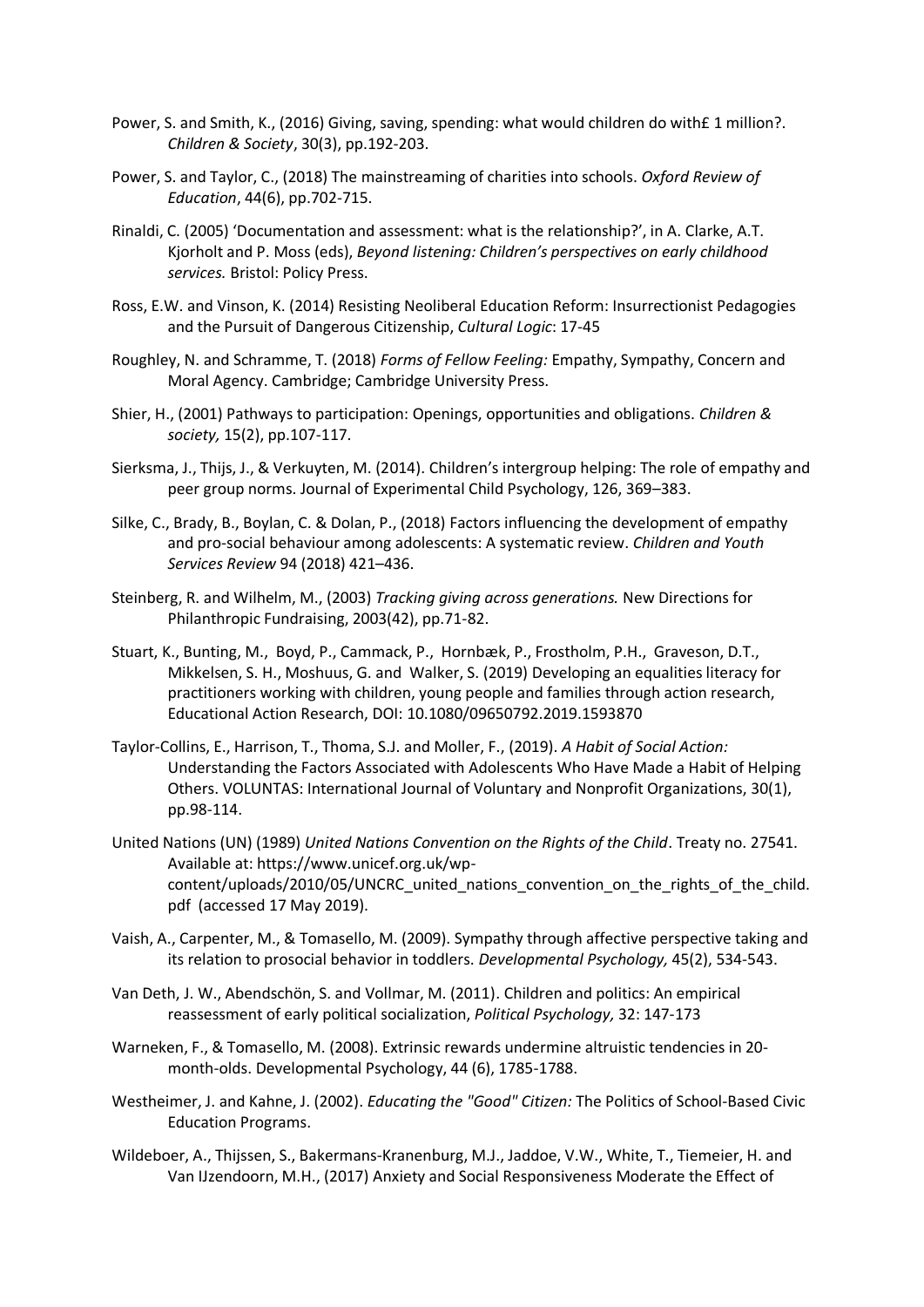- Power, S. and Smith, K., (2016) Giving, saving, spending: what would children do with£ 1 million?. *Children & Society*, 30(3), pp.192-203.
- Power, S. and Taylor, C., (2018) The mainstreaming of charities into schools. *Oxford Review of Education*, 44(6), pp.702-715.
- Rinaldi, C. (2005) 'Documentation and assessment: what is the relationship?', in A. Clarke, A.T. Kjorholt and P. Moss (eds), *Beyond listening: Children's perspectives on early childhood services.* Bristol: Policy Press.
- Ross, E.W. and Vinson, K. (2014) Resisting Neoliberal Education Reform: Insurrectionist Pedagogies and the Pursuit of Dangerous Citizenship, *Cultural Logic*: 17-45
- Roughley, N. and Schramme, T. (2018) *Forms of Fellow Feeling:* Empathy, Sympathy, Concern and Moral Agency. Cambridge; Cambridge University Press.
- Shier, H., (2001) Pathways to participation: Openings, opportunities and obligations. *Children & society,* 15(2), pp.107-117.
- Sierksma, J., Thijs, J., & Verkuyten, M. (2014). Children's intergroup helping: The role of empathy and peer group norms. Journal of Experimental Child Psychology, 126, 369–383.
- Silke, C., Brady, B., Boylan, C. & Dolan, P., (2018) Factors influencing the development of empathy and pro-social behaviour among adolescents: A systematic review. *Children and Youth Services Review* 94 (2018) 421–436.
- Steinberg, R. and Wilhelm, M., (2003) *Tracking giving across generations.* New Directions for Philanthropic Fundraising, 2003(42), pp.71-82.
- Stuart, K., Bunting, M., Boyd, P., Cammack, P., Hornbæk, P., Frostholm, P.H., Graveson, D.T., Mikkelsen, S. H., Moshuus, G. and Walker, S. (2019) Developing an equalities literacy for practitioners working with children, young people and families through action research, Educational Action Research, DOI: 10.1080/09650792.2019.1593870
- Taylor-Collins, E., Harrison, T., Thoma, S.J. and Moller, F., (2019). *A Habit of Social Action:* Understanding the Factors Associated with Adolescents Who Have Made a Habit of Helping Others. VOLUNTAS: International Journal of Voluntary and Nonprofit Organizations, 30(1), pp.98-114.
- United Nations (UN) (1989) *United Nations Convention on the Rights of the Child*. Treaty no. 27541. Available at: https://www.unicef.org.uk/wpcontent/uploads/2010/05/UNCRC\_united\_nations\_convention\_on\_the\_rights\_of\_the\_child. pdf (accessed 17 May 2019).
- Vaish, A., Carpenter, M., & Tomasello, M. (2009). Sympathy through affective perspective taking and its relation to prosocial behavior in toddlers. *Developmental Psychology,* 45(2), 534-543.
- Van Deth, J. W., Abendschön, S. and Vollmar, M. (2011). Children and politics: An empirical reassessment of early political socialization, *Political Psychology,* 32: 147-173
- Warneken, F., & Tomasello, M. (2008). Extrinsic rewards undermine altruistic tendencies in 20 month-olds. Developmental Psychology, 44 (6), 1785-1788.
- Westheimer, J. and Kahne, J. (2002). *Educating the "Good" Citizen:* The Politics of School-Based Civic Education Programs.
- Wildeboer, A., Thijssen, S., Bakermans-Kranenburg, M.J., Jaddoe, V.W., White, T., Tiemeier, H. and Van IJzendoorn, M.H., (2017) Anxiety and Social Responsiveness Moderate the Effect of